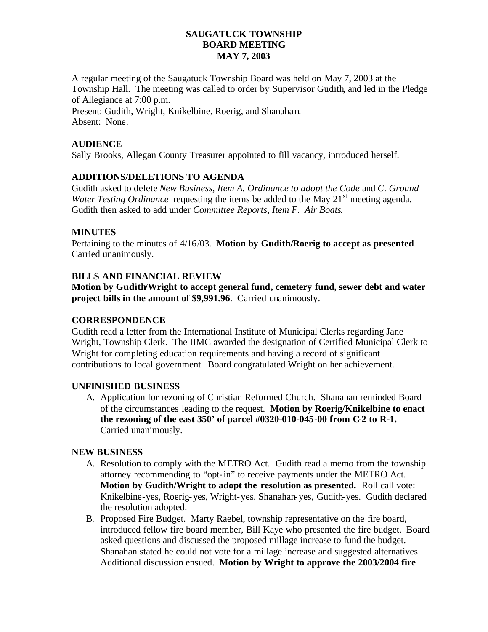## **SAUGATUCK TOWNSHIP BOARD MEETING MAY 7, 2003**

A regular meeting of the Saugatuck Township Board was held on May 7, 2003 at the Township Hall. The meeting was called to order by Supervisor Gudith, and led in the Pledge of Allegiance at 7:00 p.m.

Present: Gudith, Wright, Knikelbine, Roerig, and Shanahan. Absent: None.

## **AUDIENCE**

Sally Brooks, Allegan County Treasurer appointed to fill vacancy, introduced herself.

## **ADDITIONS/DELETIONS TO AGENDA**

Gudith asked to delete *New Business, Item A. Ordinance to adopt the Code* and *C. Ground Water Testing Ordinance* requesting the items be added to the May 21<sup>st</sup> meeting agenda. Gudith then asked to add under *Committee Reports, Item F. Air Boats.*

### **MINUTES**

Pertaining to the minutes of 4/16/03. **Motion by Gudith/Roerig to accept as presented**. Carried unanimously.

# **BILLS AND FINANCIAL REVIEW**

**Motion by Gudith/Wright to accept general fund, cemetery fund, sewer debt and water project bills in the amount of \$9,991.96**. Carried unanimously.

### **CORRESPONDENCE**

Gudith read a letter from the International Institute of Municipal Clerks regarding Jane Wright, Township Clerk. The IIMC awarded the designation of Certified Municipal Clerk to Wright for completing education requirements and having a record of significant contributions to local government. Board congratulated Wright on her achievement.

#### **UNFINISHED BUSINESS**

A. Application for rezoning of Christian Reformed Church. Shanahan reminded Board of the circumstances leading to the request. **Motion by Roerig/Knikelbine to enact the rezoning of the east 350' of parcel #0320-010-045-00 from C-2 to R-1.**  Carried unanimously.

#### **NEW BUSINESS**

- A. Resolution to comply with the METRO Act. Gudith read a memo from the township attorney recommending to "opt-in" to receive payments under the METRO Act. **Motion by Gudith/Wright to adopt the resolution as presented.** Roll call vote: Knikelbine-yes, Roerig-yes, Wright-yes, Shanahan-yes, Gudith-yes. Gudith declared the resolution adopted.
- B. Proposed Fire Budget. Marty Raebel, township representative on the fire board, introduced fellow fire board member, Bill Kaye who presented the fire budget. Board asked questions and discussed the proposed millage increase to fund the budget. Shanahan stated he could not vote for a millage increase and suggested alternatives. Additional discussion ensued. **Motion by Wright to approve the 2003/2004 fire**